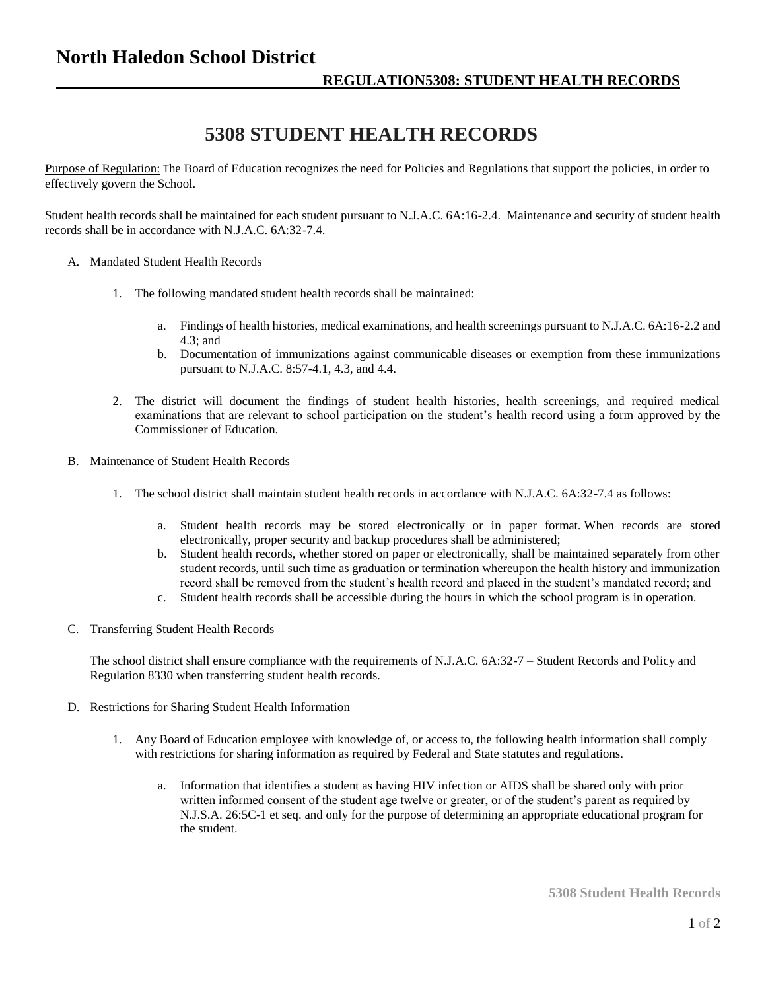## **North Haledon School District**

## **5308 STUDENT HEALTH RECORDS**

Purpose of Regulation: The Board of Education recognizes the need for Policies and Regulations that support the policies, in order to effectively govern the School.

Student health records shall be maintained for each student pursuant to N.J.A.C. 6A:16-2.4. Maintenance and security of student health records shall be in accordance with N.J.A.C. 6A:32-7.4.

- A. Mandated Student Health Records
	- 1. The following mandated student health records shall be maintained:
		- a. Findings of health histories, medical examinations, and health screenings pursuant to N.J.A.C. 6A:16-2.2 and 4.3; and
		- b. Documentation of immunizations against communicable diseases or exemption from these immunizations pursuant to N.J.A.C. 8:57-4.1, 4.3, and 4.4.
	- 2. The district will document the findings of student health histories, health screenings, and required medical examinations that are relevant to school participation on the student's health record using a form approved by the Commissioner of Education.
- B. Maintenance of Student Health Records
	- 1. The school district shall maintain student health records in accordance with N.J.A.C. 6A:32-7.4 as follows:
		- a. Student health records may be stored electronically or in paper format. When records are stored electronically, proper security and backup procedures shall be administered;
		- b. Student health records, whether stored on paper or electronically, shall be maintained separately from other student records, until such time as graduation or termination whereupon the health history and immunization record shall be removed from the student's health record and placed in the student's mandated record; and
		- c. Student health records shall be accessible during the hours in which the school program is in operation.
- C. Transferring Student Health Records

The school district shall ensure compliance with the requirements of N.J.A.C. 6A:32-7 – Student Records and Policy and Regulation 8330 when transferring student health records.

- D. Restrictions for Sharing Student Health Information
	- 1. Any Board of Education employee with knowledge of, or access to, the following health information shall comply with restrictions for sharing information as required by Federal and State statutes and regulations.
		- a. Information that identifies a student as having HIV infection or AIDS shall be shared only with prior written informed consent of the student age twelve or greater, or of the student's parent as required by N.J.S.A. 26:5C-1 et seq. and only for the purpose of determining an appropriate educational program for the student.